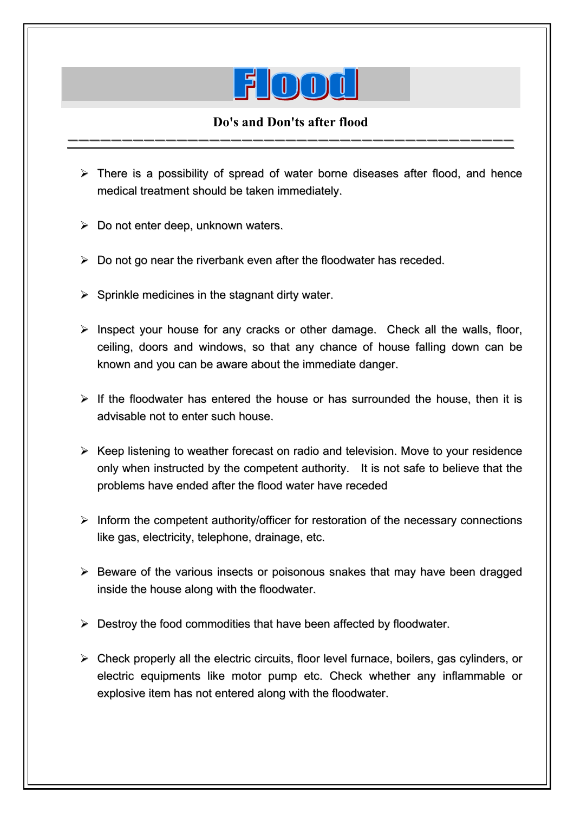

## **Do's and Don'ts after flood**  vvvvvvvvvvvvvvvvvvvvvvvvvvvvvvvvvvvvvvvvv

- $\triangleright$  There is a possibility of spread of water borne diseases after flood, and hence medical treatment should be taken immediately.
- $\triangleright$  Do not enter deep, unknown waters.

I

- $\triangleright$  Do not go near the riverbank even after the floodwater has receded.
- $\triangleright$  Sprinkle medicines in the stagnant dirty water.
- $\triangleright$  Inspect your house for any cracks or other damage. Check all the walls, floor, ceiling, doors and windows, so that any chance of house falling down can be known and you can be aware about the immediate danger.
- $\triangleright$  If the floodwater has entered the house or has surrounded the house, then it is advisable not to enter such house.
- $\triangleright$  Keep listening to weather forecast on radio and television. Move to your residence only when instructed by the competent authority. It is not safe to believe that the problems have ended after the flood water have receded
- $\triangleright$  Inform the competent authority/officer for restoration of the necessary connections like gas, electricity, telephone, drainage, etc.
- $\triangleright$  Beware of the various insects or poisonous snakes that may have been dragged inside the house along with the floodwater.
- $\triangleright$  Destroy the food commodities that have been affected by floodwater.
- $\triangleright$  Check properly all the electric circuits, floor level furnace, boilers, gas cylinders, or electric equipments like motor pump etc. Check whether any inflammable or explosive item has not entered along with the floodwater.